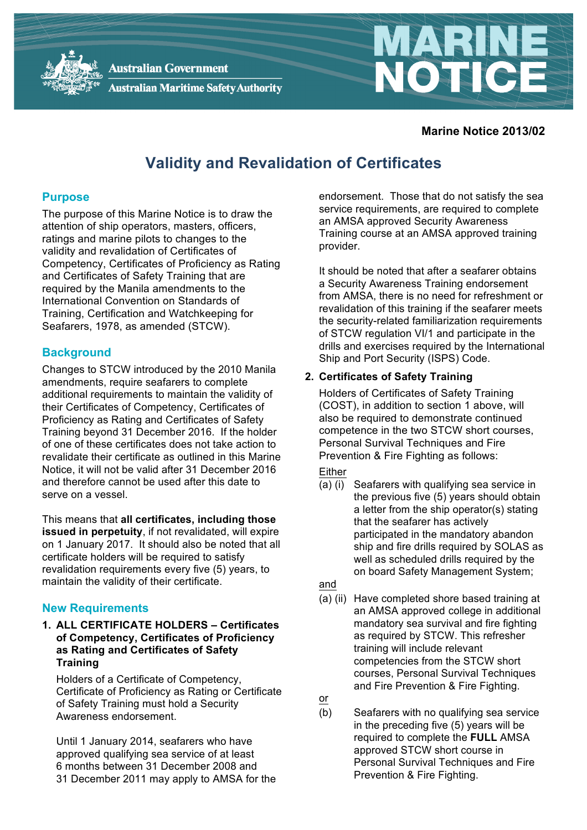

**Australian Government Australian Maritime Safety Authority** 

#### **Marine Notice 2013/02**

NOTICE

# **Validity and Revalidation of Certificates**

#### **Purpose**

The purpose of this Marine Notice is to draw the attention of ship operators, masters, officers, ratings and marine pilots to changes to the validity and revalidation of Certificates of Competency, Certificates of Proficiency as Rating and Certificates of Safety Training that are required by the Manila amendments to the International Convention on Standards of Training, Certification and Watchkeeping for Seafarers, 1978, as amended (STCW).

## **Background**

Changes to STCW introduced by the 2010 Manila amendments, require seafarers to complete additional requirements to maintain the validity of their Certificates of Competency, Certificates of Proficiency as Rating and Certificates of Safety Training beyond 31 December 2016. If the holder of one of these certificates does not take action to revalidate their certificate as outlined in this Marine Notice, it will not be valid after 31 December 2016 and therefore cannot be used after this date to serve on a vessel.

This means that **all certificates, including those issued in perpetuity**, if not revalidated, will expire on 1 January 2017. It should also be noted that all certificate holders will be required to satisfy revalidation requirements every five (5) years, to maintain the validity of their certificate.

## **New Requirements**

**1. ALL CERTIFICATE HOLDERS – Certificates of Competency, Certificates of Proficiency as Rating and Certificates of Safety Training**

Holders of a Certificate of Competency, Certificate of Proficiency as Rating or Certificate of Safety Training must hold a Security Awareness endorsement.

Until 1 January 2014, seafarers who have approved qualifying sea service of at least 6 months between 31 December 2008 and 31 December 2011 may apply to AMSA for the endorsement. Those that do not satisfy the sea service requirements, are required to complete an AMSA approved Security Awareness Training course at an AMSA approved training provider.

It should be noted that after a seafarer obtains a Security Awareness Training endorsement from AMSA, there is no need for refreshment or revalidation of this training if the seafarer meets the security-related familiarization requirements of STCW regulation VI/1 and participate in the drills and exercises required by the International Ship and Port Security (ISPS) Code.

## **2. Certificates of Safety Training**

Holders of Certificates of Safety Training (COST), in addition to section 1 above, will also be required to demonstrate continued competence in the two STCW short courses, Personal Survival Techniques and Fire Prevention & Fire Fighting as follows:

## Either

(a) (i) Seafarers with qualifying sea service in the previous five (5) years should obtain a letter from the ship operator(s) stating that the seafarer has actively participated in the mandatory abandon ship and fire drills required by SOLAS as well as scheduled drills required by the on board Safety Management System;

and

(a) (ii) Have completed shore based training at an AMSA approved college in additional mandatory sea survival and fire fighting as required by STCW. This refresher training will include relevant competencies from the STCW short courses, Personal Survival Techniques and Fire Prevention & Fire Fighting.

or

(b) Seafarers with no qualifying sea service in the preceding five (5) years will be required to complete the **FULL** AMSA approved STCW short course in Personal Survival Techniques and Fire Prevention & Fire Fighting.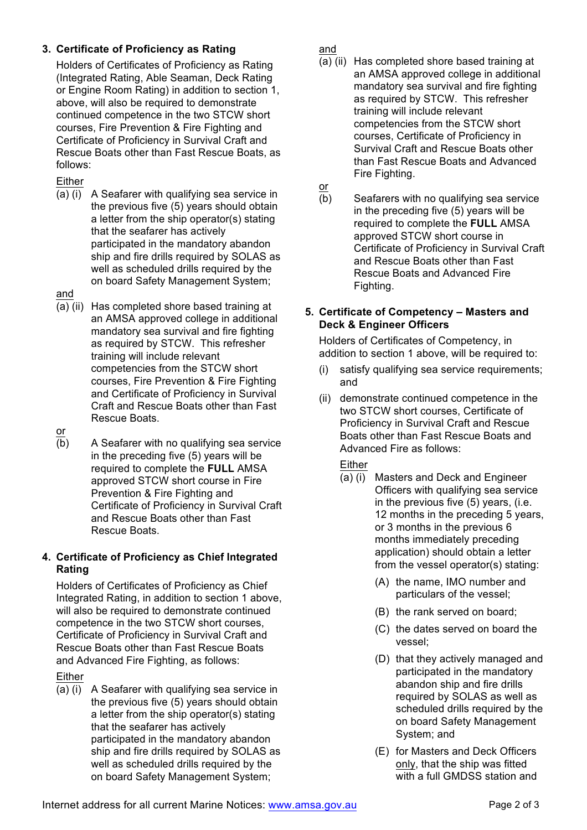# **3. Certificate of Proficiency as Rating**

Holders of Certificates of Proficiency as Rating (Integrated Rating, Able Seaman, Deck Rating or Engine Room Rating) in addition to section 1, above, will also be required to demonstrate continued competence in the two STCW short courses, Fire Prevention & Fire Fighting and Certificate of Proficiency in Survival Craft and Rescue Boats other than Fast Rescue Boats, as follows:

## Either

(a) (i) A Seafarer with qualifying sea service in the previous five (5) years should obtain a letter from the ship operator(s) stating that the seafarer has actively participated in the mandatory abandon ship and fire drills required by SOLAS as well as scheduled drills required by the on board Safety Management System;

#### and

(a) (ii) Has completed shore based training at an AMSA approved college in additional mandatory sea survival and fire fighting as required by STCW. This refresher training will include relevant competencies from the STCW short courses, Fire Prevention & Fire Fighting and Certificate of Proficiency in Survival Craft and Rescue Boats other than Fast Rescue Boats.

or

(b) A Seafarer with no qualifying sea service in the preceding five (5) years will be required to complete the **FULL** AMSA approved STCW short course in Fire Prevention & Fire Fighting and Certificate of Proficiency in Survival Craft and Rescue Boats other than Fast Rescue Boats.

## **4. Certificate of Proficiency as Chief Integrated Rating**

Holders of Certificates of Proficiency as Chief Integrated Rating, in addition to section 1 above, will also be required to demonstrate continued competence in the two STCW short courses, Certificate of Proficiency in Survival Craft and Rescue Boats other than Fast Rescue Boats and Advanced Fire Fighting, as follows:

Either

(a) (i) A Seafarer with qualifying sea service in the previous five (5) years should obtain a letter from the ship operator(s) stating that the seafarer has actively participated in the mandatory abandon ship and fire drills required by SOLAS as well as scheduled drills required by the on board Safety Management System;

and

- (a) (ii) Has completed shore based training at an AMSA approved college in additional mandatory sea survival and fire fighting as required by STCW. This refresher training will include relevant competencies from the STCW short courses, Certificate of Proficiency in Survival Craft and Rescue Boats other than Fast Rescue Boats and Advanced Fire Fighting.
- or
- (b) Seafarers with no qualifying sea service in the preceding five (5) years will be required to complete the **FULL** AMSA approved STCW short course in Certificate of Proficiency in Survival Craft and Rescue Boats other than Fast Rescue Boats and Advanced Fire Fighting.

## **5. Certificate of Competency – Masters and Deck & Engineer Officers**

Holders of Certificates of Competency, in addition to section 1 above, will be required to:

- (i) satisfy qualifying sea service requirements; and
- (ii) demonstrate continued competence in the two STCW short courses, Certificate of Proficiency in Survival Craft and Rescue Boats other than Fast Rescue Boats and Advanced Fire as follows:

## Either

- (a) (i) Masters and Deck and Engineer Officers with qualifying sea service in the previous five (5) years, (i.e. 12 months in the preceding 5 years, or 3 months in the previous 6 months immediately preceding application) should obtain a letter from the vessel operator(s) stating:
	- (A) the name, IMO number and particulars of the vessel;
	- (B) the rank served on board;
	- (C) the dates served on board the vessel;
	- (D) that they actively managed and participated in the mandatory abandon ship and fire drills required by SOLAS as well as scheduled drills required by the on board Safety Management System; and
	- (E) for Masters and Deck Officers only, that the ship was fitted with a full GMDSS station and